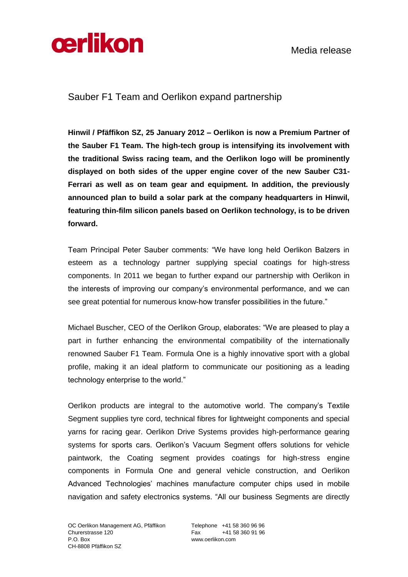



Sauber F1 Team and Oerlikon expand partnership

**Hinwil / Pfäffikon SZ, 25 January 2012 – Oerlikon is now a Premium Partner of the Sauber F1 Team. The high-tech group is intensifying its involvement with the traditional Swiss racing team, and the Oerlikon logo will be prominently displayed on both sides of the upper engine cover of the new Sauber C31- Ferrari as well as on team gear and equipment. In addition, the previously announced plan to build a solar park at the company headquarters in Hinwil, featuring thin-film silicon panels based on Oerlikon technology, is to be driven forward.**

Team Principal Peter Sauber comments: "We have long held Oerlikon Balzers in esteem as a technology partner supplying special coatings for high-stress components. In 2011 we began to further expand our partnership with Oerlikon in the interests of improving our company's environmental performance, and we can see great potential for numerous know-how transfer possibilities in the future."

Michael Buscher, CEO of the Oerlikon Group, elaborates: "We are pleased to play a part in further enhancing the environmental compatibility of the internationally renowned Sauber F1 Team. Formula One is a highly innovative sport with a global profile, making it an ideal platform to communicate our positioning as a leading technology enterprise to the world."

Oerlikon products are integral to the automotive world. The company's Textile Segment supplies tyre cord, technical fibres for lightweight components and special yarns for racing gear. Oerlikon Drive Systems provides high-performance gearing systems for sports cars. Oerlikon's Vacuum Segment offers solutions for vehicle paintwork, the Coating segment provides coatings for high-stress engine components in Formula One and general vehicle construction, and Oerlikon Advanced Technologies' machines manufacture computer chips used in mobile navigation and safety electronics systems. "All our business Segments are directly